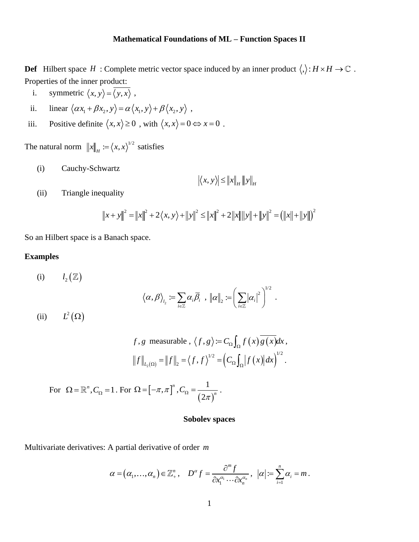# **Mathematical Foundations of ML – Function Spaces II**

**Def** Hilbert space H: Complete metric vector space induced by an inner product  $\langle , \rangle : H \times H \to \mathbb{C}$ . Properties of the inner product:

- i. symmetric  $\langle x, y \rangle = \langle y, x \rangle$ ,
- ii. linear  $\langle \alpha x_1 + \beta x_2, y \rangle = \alpha \langle x_1, y \rangle + \beta \langle x_2, y \rangle$ ,
- iii. Positive definite  $\langle x, x \rangle \ge 0$ , with  $\langle x, x \rangle = 0 \Leftrightarrow x = 0$ .

The natural norm  $||x||_H := \langle x, x \rangle^{1/2}$  satisfies

(i) Cauchy-Schwartz

$$
\left| \left\langle x, y \right\rangle \right| \leq \left\| x \right\|_{H} \left\| y \right\|_{H}
$$

(ii) Triangle inequality

quality  
\n
$$
||x + y||^{2} = ||x||^{2} + 2\langle x, y \rangle + ||y||^{2} \le ||x||^{2} + 2||x|| ||y|| + ||y||^{2} = (||x|| + ||y||)^{2}
$$

So an Hilbert space is a Banach space.

# **Examples**

(i) 
$$
l_2(\mathbb{Z})
$$
  
\n $\langle \alpha, \beta \rangle_{l_2} := \sum_{i \in \mathbb{Z}} \alpha_i \overline{\beta}_i, ||\alpha||_2 := \left(\sum_{i \in \mathbb{Z}} |\alpha_i|^2\right)^{1/2}.$   
\n(ii)  $L^2(\Omega)$ 

$$
f, g
$$
 measurable,  $\langle f, g \rangle := C_{\Omega} \int_{\Omega} f(x) \overline{g(x)} dx$ ,  

$$
||f||_{L_2(\Omega)} = ||f||_2 = \langle f, f \rangle^{1/2} = (C_{\Omega} \int_{\Omega} |f(x)| dx)^{1/2}.
$$

For 
$$
\Omega = \mathbb{R}^n
$$
,  $C_{\Omega} = 1$ . For  $\Omega = [-\pi, \pi]^n$ ,  $C_{\Omega} = \frac{1}{(2\pi)^n}$ .

## **Sobolev spaces**

Multivariate derivatives: A partial derivative of order *m*

$$
\alpha = (\alpha_1, \ldots, \alpha_n) \in \mathbb{Z}_+^n, \quad D^{\alpha} f = \frac{\partial^m f}{\partial x_1^{\alpha_1} \cdots \partial x_n^{\alpha_n}}, \ |\alpha| := \sum_{i=1}^n \alpha_i = m.
$$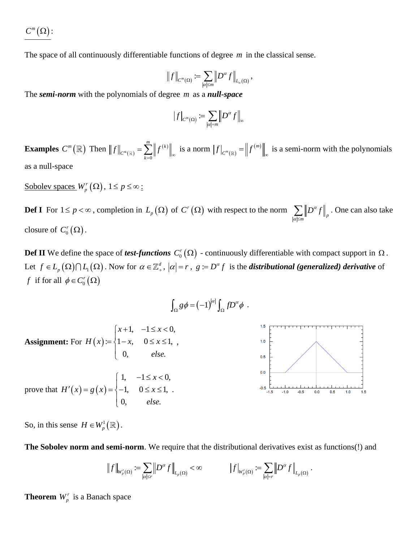$C^m(\Omega)$  :

The space of all continuously differentiable functions of degree *m* in the classical sense.

$$
\|f\|_{C^m(\Omega)} := \sum_{|\alpha| \leq m} \left\| D^{\alpha} f \right\|_{L_{\infty}(\Omega)},
$$

The *semi-norm* with the polynomials of degree *m* as a *null-space*

$$
\left\vert f\right\vert _{C^{m}(\Omega )}:=\sum\limits_{\left\vert \alpha \right\vert =m}\left\Vert D^{\alpha }f\right\Vert _{\infty }
$$

**Examples**  $C^m(\mathbb{R})$  Then  $||f||_{C^m(\mathbb{R})}$  $(k)$ 0 *m*  $\sum_{k=1}^{m}$   $\left| \int_{0}^{k} f(k) \right|$  $C^m(\mathbb{R})$   $\underset{k}{\sim}$  $f\|_{C^m(\mathbb{R})} = \sum_{k=0}^m \left\| f^{(k)} \right\|_{\infty}$  is a norm  $\left| f \right|_{C^m(\mathbb{R})}$  $_{m_{(m)}} = ||f^{(m)}||$  $f|_{C^m(\mathbb{R})} = \left\| f^{(m)} \right\|_{\infty}$  is a semi-norm with the polynomials as a null-space

Sobolev spaces  $W_p^r(\Omega)$ ,  $1 \le p \le \infty$ :

**Def I** For  $1 \le p < \infty$ , completion in  $L_p(\Omega)$  of  $C^r(\Omega)$  with respect to the norm  $\sum_{|\alpha| \le m} ||D^{\alpha} f||_p$  $D^\alpha f$  $\sum_{\alpha|\leq m} \left\| D^{\alpha} f \right\|_p$ . One can also take closure of  $C_0^r(\Omega)$ .

**Def II** We define the space of *test-functions*  $C_0^r(\Omega)$  - continuously differentiable with compact support in  $\Omega$ . Let  $f \in L_p(\Omega) \cap L_1(\Omega)$ . Now for  $\alpha \in \mathbb{Z}_+^d$ ,  $|\alpha| = r$ ,  $g \coloneqq D^\alpha f$  is the *distributional (generalized) derivative* of *f* if for all  $\phi \in C_0^r(\Omega)$ 

$$
\int_{\Omega} g \phi = (-1)^{|\alpha|} \int_{\Omega} f D^{\alpha} \phi .
$$



So, in this sense  $H \in W_p^1(\mathbb{R})$ .

**The Sobolev norm and semi-norm**. We require that the distributional derivatives exist as functions(!) and

$$
\left\|f\right\|_{W^r_p(\Omega)}\coloneqq\sum_{|\boldsymbol\alpha|\leq r}\left\|\boldsymbol D^{\boldsymbol\alpha} f\right\|_{L_p(\Omega)}<\infty\qquad\qquad \left\|\boldsymbol f\right\|_{W^r_p(\Omega)}\coloneqq\sum_{|\boldsymbol\alpha|=r}\left\|\boldsymbol D^{\boldsymbol\alpha} f\right\|_{L_p(\Omega)}.
$$

**Theorem**  $W_p^r$  is a Banach space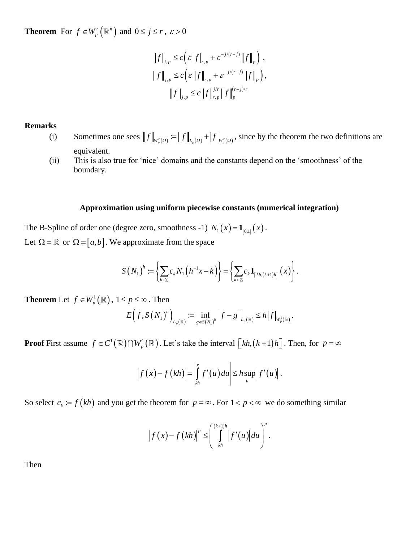**Theorem** For  $f \in W_p^r(\mathbb{R}^n)$  $f \in W_p^r\big(\mathbb{R}^n\big)$  and  $0 \leq j \leq r$  ,  $\varepsilon > 0$ 

$$
||f||_{j,p} \leq c \Big( \varepsilon ||f||_{r,p} + \varepsilon^{-j/(r-j)} ||f||_{p} \Big) ,
$$
  

$$
||f||_{j,p} \leq c \Big( \varepsilon ||f||_{r,p} + \varepsilon^{-j/(r-j)} ||f||_{p} \Big),
$$
  

$$
||f||_{j,p} \leq c ||f||_{r,p}^{j/r} ||f||_{p}^{(r-j)/r}
$$

## **Remarks**

- (i) Sometimes one sees  $||f||_{W_p'(\Omega)} := ||f||_{L_p(\Omega)} + |f|_{W_p'(\Omega)}$ , since by the theorem the two definitions are equivalent.
- (ii) This is also true for 'nice' domains and the constants depend on the 'smoothness' of the boundary.

### **Approximation using uniform piecewise constants (numerical integration)**

The B-Spline of order one (degree zero, smoothness -1)  $N_1(x) = \mathbf{1}_{[0,1]}(x)$ . Let  $\Omega = \mathbb{R}$  or  $\Omega = [a, b]$ . We approximate from the space

approximate from the space  
\n
$$
S(N_1)^h := \left\{ \sum_{k \in \mathbb{Z}} c_k N_1 \left( h^{-1} x - k \right) \right\} = \left\{ \sum_{k \in \mathbb{Z}} c_k \mathbf{1}_{\left[ kh, (k+1)h \right]} (x) \right\}.
$$

**Theorem** Let  $f \in W_n^1(\mathbb{R})$ 

$$
f \in W_p^1(\mathbb{R}), 1 \le p \le \infty. \text{ Then}
$$
  

$$
E\Big(f, S\big(N_1\big)^h\Big)_{L_p(\mathbb{R})} := \inf_{g \in S\big(N_1\big)^h} \left\|f - g\right\|_{L_p(\mathbb{R})} \le h \left|f\right|_{W_p^1(\mathbb{R})}.
$$

**Proof** First assume  $f \in C^1(\mathbb{R}) \cap W^1_p(\mathbb{R})$ . Let's take the interval  $\left[kh, (k+1)h\right]$ . Then, for  $p = \infty$ 

$$
\left|f(x)-f(kh)\right|=\left|\int\limits_{kh}^x f'(u) du\right|\leq h \sup_u \left|f'(u)\right|.
$$

So select  $c_k := f(kh)$  and you get the theorem for  $p = \infty$ . For  $1 < p < \infty$  we do something similar

$$
\left|f(x)-f(kh)\right|^p\leq \left(\int\limits_{kh}^{(k+1)h}\left|f'(u)\right|du\right)^p.
$$

Then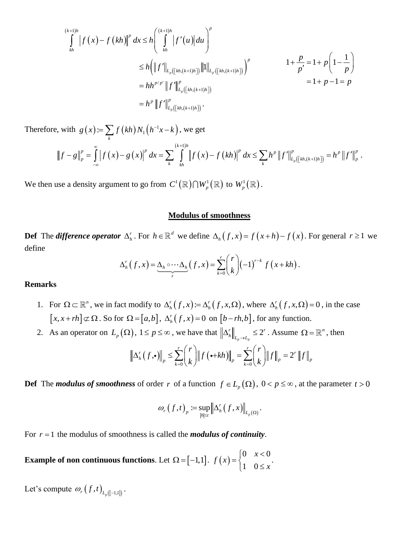$$
\int_{kh}^{(k+1)h} |f(x)-f(kh)|^p dx \le h \left( \int_{kh}^{(k+1)h} |f'(u)| du \right)^p
$$
  
\n
$$
\le h \left( ||f'||_{L_p([kh,(k+1)h])} ||1||_{L_p([kh,(k+1)h])} \right)^p
$$
  
\n
$$
= hh^{p/p'} ||f'||_{L_p([kh,(k+1)h])}^p
$$
  
\n
$$
= h^p ||f'||_{L_p([kh,(k+1)h])}^p.
$$
  
\n
$$
= h^p ||f'||_{L_p([kh,(k+1)h])}^p.
$$

Therefore, with  $g(x) = \sum f(kh) N_1(h^{-1}x - k)$  $:=\sum f(kh)N_1$ 

$$
= h^{p} \|f'\|_{L_{p}([kh,(k+1)h])}^{p}.
$$
  
\n
$$
\text{with } g(x) := \sum_{k} f(kh) N_{1} (h^{-1}x - k), \text{ we get}
$$
  
\n
$$
\|f - g\|_{p}^{p} = \int_{-\infty}^{\infty} |f(x) - g(x)|^{p} dx = \sum_{k} \int_{kh}^{(k+1)h} |f(x) - f(kh)|^{p} dx \le \sum_{k} h^{p} \|f'\|_{L_{p}([kh,(k+1)h])}^{p} = h^{p} \|f'\|_{p}^{p}.
$$

We then use a density argument to go from  $C^1(\mathbb{R}) \cap W^1_p(\mathbb{R})$  to  $W^1_p(\mathbb{R})$ .

### **Modulus of smoothness**

**Def** The *difference operator*  $\Delta_h^r$ . For  $h \in \mathbb{R}^d$  we define  $\Delta_h(f, x) = f(x+h) - f(x)$ . For general  $r \ge 1$  we define  $\Delta_h^r(f, x) = \underbrace{\Delta_h \circ \cdots \Delta_h}_{r}(f, x) = \sum_{k=0}^r {r \choose k} (-1)^{r-k} f(x + kh)$ . define

$$
\Delta_h^r(f,x) = \underbrace{\Delta_h \circ \cdots \Delta_h}_{r}(f,x) = \sum_{k=0}^r {r \choose k} (-1)^{r-k} f(x+kh).
$$

## **Remarks**

- 1. For  $\Omega \subset \mathbb{R}^n$ , we in fact modify to  $\Delta_h^r(f, x) = \Delta_h^r(f, x, \Omega)$ , where  $\Delta_h^r(f, x, \Omega) = 0$ , in the case  $[x, x + rh] \subset \Omega$ . So for  $\Omega = [a,b]$ ,  $\Delta_h^r(f, x) = 0$  on  $[b - rh, b]$ , for any function.
- 2. As an operator on  $L_p(\Omega)$ ,  $1 \le p \le \infty$ , we have that  $\left\| \Delta_h^r \right\|_{L_p \to L_p} \le 2$ *r*  $\|$  /  $\gamma$ *r*

2), 
$$
1 \le p \le \infty
$$
, we have that  $\left\| \Delta_h^r \right\|_{L_p \to L_p} \le 2^r$ . Assume  $\Omega = \mathbb{R}^n$ , then  
 $\left\| \Delta_h^r(f, \cdot) \right\|_p \le \sum_{k=0}^r {r \choose k} \| f(\cdot + kh) \|_p = \sum_{k=0}^r {r \choose k} \| f \|_p = 2^r \| f \|_p$ 

**Def** The *modulus of smoothness* of order r of a function  $f \in L_p(\Omega)$ ,  $0 < p \le \infty$ , at the parameter  $t > 0$ 

$$
\omega_r(f,t)_p := \sup_{|h| \leq t} \left\| \Delta_h^r(f,x) \right\|_{L_p(\Omega)}.
$$

For  $r = 1$  the modulus of smoothness is called the *modulus of continuity*.

**Example** of non continuous functions. Let  $\Omega = [-1,1]$ .  $f(x)$ 0  $x < 0$ 1 0  $f(x) = \begin{cases} 0 & x \\ 1 & 0 \end{cases}$ *x*  $\begin{bmatrix} 0 & x \end{bmatrix}$  $=\{$  $\begin{pmatrix} 1 & 0 \end{pmatrix}$ .

Let's compute  $\omega_r(f,t)_{L_p([-1,1])}$ .